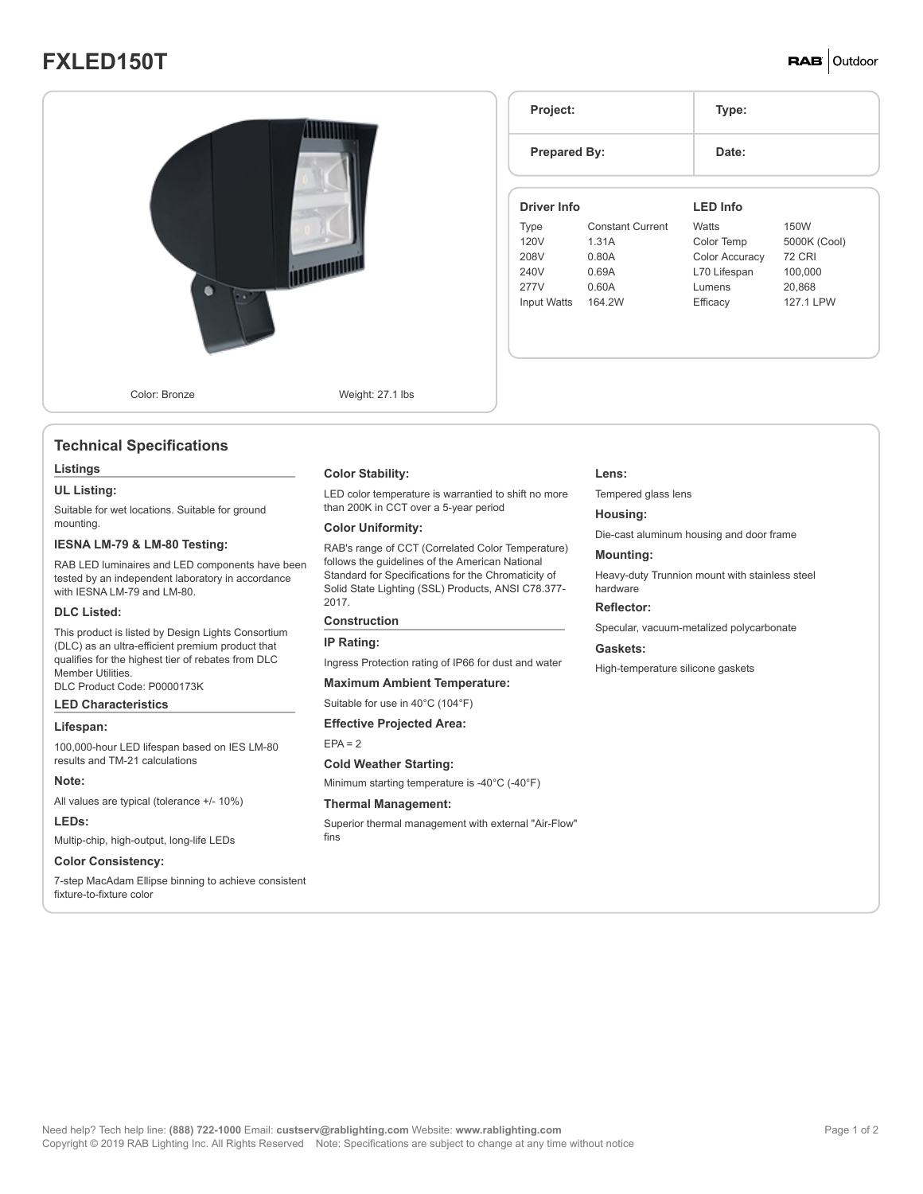# **FXLED150T**

# **RAB** Outdoor



# **Technical Specifications**

#### **Listings**

#### **UL Listing:**

Suitable for wet locations. Suitable for ground mounting.

#### **IESNA LM-79 & LM-80 Testing:**

RAB LED luminaires and LED components have been tested by an independent laboratory in accordance with IESNA LM-79 and LM-80.

#### **DLC Listed:**

This product is listed by Design Lights Consortium (DLC) as an ultra-efficient premium product that qualifies for the highest tier of rebates from DLC Member Utilities.

DLC Product Code: P0000173K

# **LED Characteristics**

#### **Lifespan:**

100,000-hour LED lifespan based on IES LM-80 results and TM-21 calculations

#### **Note:**

All values are typical (tolerance +/- 10%)

### **LEDs:**

Multip-chip, high-output, long-life LEDs

# **Color Consistency:**

7-step MacAdam Ellipse binning to achieve consistent fixture-to-fixture color

#### **Color Stability:**

LED color temperature is warrantied to shift no more than 200K in CCT over a 5-year period

### **Color Uniformity:**

RAB's range of CCT (Correlated Color Temperature) follows the guidelines of the American National Standard for Specifications for the Chromaticity of Solid State Lighting (SSL) Products, ANSI C78.377- 2017.

#### **Construction**

#### **IP Rating:**

Ingress Protection rating of IP66 for dust and water

#### **Maximum Ambient Temperature:**

Suitable for use in 40°C (104°F)

**Effective Projected Area:**

#### $EPA = 2$

#### **Cold Weather Starting:**

Minimum starting temperature is -40°C (-40°F)

#### **Thermal Management:**

Superior thermal management with external "Air-Flow" fins

| Project:            |                         | Type:                 |               |  |
|---------------------|-------------------------|-----------------------|---------------|--|
| <b>Prepared By:</b> |                         | Date:                 |               |  |
| Driver Info         |                         | <b>LED Info</b>       |               |  |
| Type                | <b>Constant Current</b> | <b>Watts</b>          | 150W          |  |
| 120V                | 1.31A                   | Color Temp            | 5000K (Cool)  |  |
| 208V                | 0.80A                   | <b>Color Accuracy</b> | <b>72 CRI</b> |  |
| 240V                | 0.69A                   | L70 Lifespan          | 100,000       |  |
| 277V                | 0.60A                   | Lumens                | 20,868        |  |
|                     | 164 2W                  | Efficacy              | 127 1 I PW    |  |

#### **Lens:**

Tempered glass lens

#### **Housing:**

Die-cast aluminum housing and door frame

#### **Mounting:**

Heavy-duty Trunnion mount with stainless steel hardware

# **Reflector:**

Specular, vacuum-metalized polycarbonate

#### **Gaskets:**

High-temperature silicone gaskets